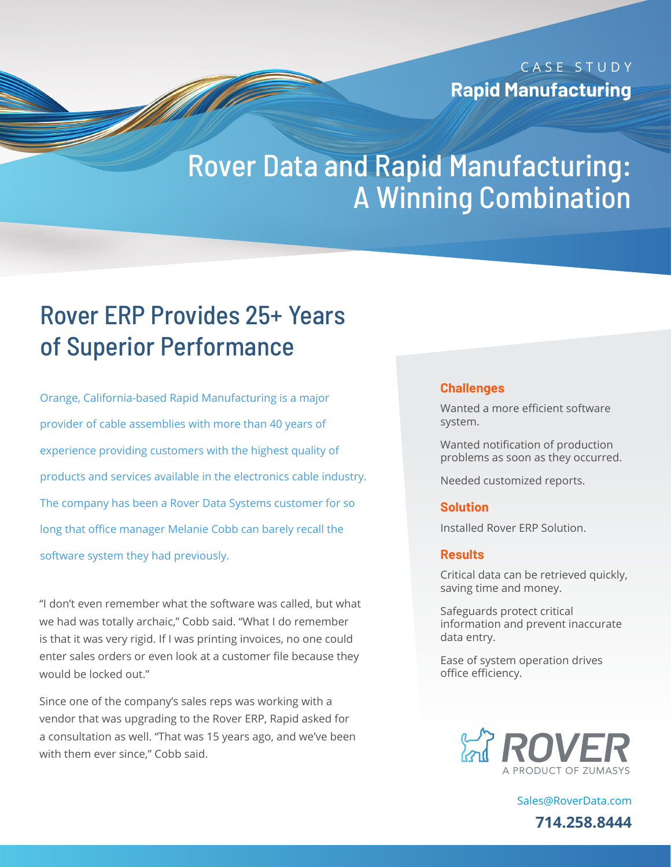CASE STUDY **Rapid Manufacturing**

# Rover Data and Rapid Manufacturing: A Winning Combination

## Rover ERP Provides 25+ Years of Superior Performance

<u> Charles Contains ann an 1970 ann an 1970 ann am Sàrrangachd ann an 1970 ann am Dùbhachd ann an 1970 ann an 19</u>

<u>Santa Cardinal Cardinal Cardinal Cardinal Cardinal Cardinal Cardinal Cardinal Cardinal Cardinal Cardinal Cardi</u>

Orange, California-based Rapid Manufacturing is a major provider of cable assemblies with more than 40 years of experience providing customers with the highest quality of products and services available in the electronics cable industry. The company has been a Rover Data Systems customer for so long that office manager Melanie Cobb can barely recall the software system they had previously.

"I don't even remember what the software was called, but what we had was totally archaic," Cobb said. "What I do remember is that it was very rigid. If I was printing invoices, no one could enter sales orders or even look at a customer file because they would be locked out."

Since one of the company's sales reps was working with a vendor that was upgrading to the Rover ERP, Rapid asked for a consultation as well. "That was 15 years ago, and we've been with them ever since," Cobb said.

#### **Challenges**

Wanted a more efficient software system.

Wanted notification of production problems as soon as they occurred.

Needed customized reports.

#### **Solution**

Installed Rover ERP Solution.

#### **Results**

Critical data can be retrieved quickly, saving time and money.

Safeguards protect critical information and prevent inaccurate data entry.

Ease of system operation drives office efficiency.



[Sales@RoverData.com](mailto:Sales@RoverData.com
) **714.258.8444**